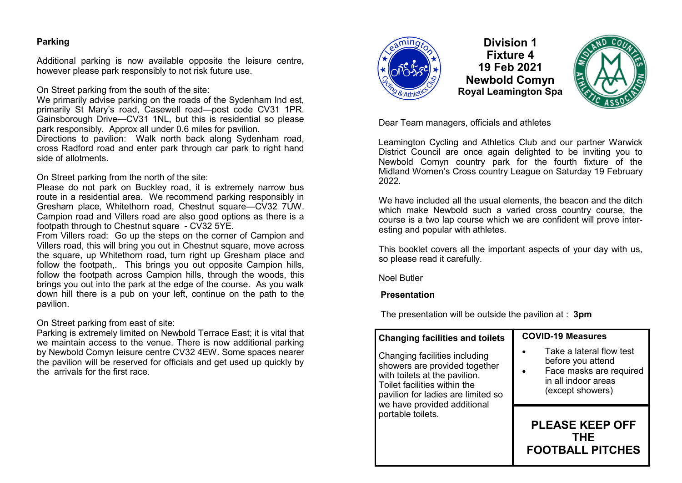# **Parking**

Additional parking is now available opposite the leisure centre, however please park responsibly to not risk future use.

On Street parking from the south of the site:

We primarily advise parking on the roads of the Sydenham Ind est, primarily St Mary's road, Casewell road—post code CV31 1PR. Gainsborough Drive—CV31 1NL, but this is residential so please park responsibly. Approx all under 0.6 miles for pavilion.

Directions to pavilion: Walk north back along Sydenham road, cross Radford road and enter park through car park to right hand side of allotments.

On Street parking from the north of the site:

Please do not park on Buckley road, it is extremely narrow bus route in a residential area. We recommend parking responsibly in Gresham place, Whitethorn road, Chestnut square—CV32 7UW. Campion road and Villers road are also good options as there is a footpath through to Chestnut square - CV32 5YE.

From Villers road: Go up the steps on the corner of Campion and Villers road, this will bring you out in Chestnut square, move across the square, up Whitethorn road, turn right up Gresham place and follow the footpath,. This brings you out opposite Campion hills, follow the footpath across Campion hills, through the woods, this brings you out into the park at the edge of the course. As you walk down hill there is a pub on your left, continue on the path to the pavilion.

On Street parking from east of site:

Parking is extremely limited on Newbold Terrace East; it is vital that we maintain access to the venue. There is now additional parking by Newbold Comyn leisure centre CV32 4EW. Some spaces nearer the pavilion will be reserved for officials and get used up quickly by the arrivals for the first race.



**Division 1 Fixture 4 19 Feb 2021 Newbold Comyn Royal Leamington Spa**



Dear Team managers, officials and athletes

Leamington Cycling and Athletics Club and our partner Warwick District Council are once again delighted to be inviting you to Newbold Comyn country park for the fourth fixture of the Midland Women's Cross country League on Saturday 19 February 2022.

We have included all the usual elements, the beacon and the ditch which make Newbold such a varied cross country course, the course is a two lap course which we are confident will prove interesting and popular with athletes.

This booklet covers all the important aspects of your day with us, so please read it carefully.

Noel Butler

## **Presentation**

The presentation will be outside the pavilion at : **3pm**

| <b>Changing facilities and toilets</b>                                                                                                                                                               | <b>COVID-19 Measures</b>                                                                                            |
|------------------------------------------------------------------------------------------------------------------------------------------------------------------------------------------------------|---------------------------------------------------------------------------------------------------------------------|
| Changing facilities including<br>showers are provided together<br>with toilets at the pavilion.<br>Toilet facilities within the<br>pavilion for ladies are limited so<br>we have provided additional | Take a lateral flow test<br>before you attend<br>Face masks are required<br>in all indoor areas<br>(except showers) |
| portable toilets.                                                                                                                                                                                    | <b>PLEASE KEEP OFF</b><br>THF<br><b>FOOTBALL PITCHES</b>                                                            |